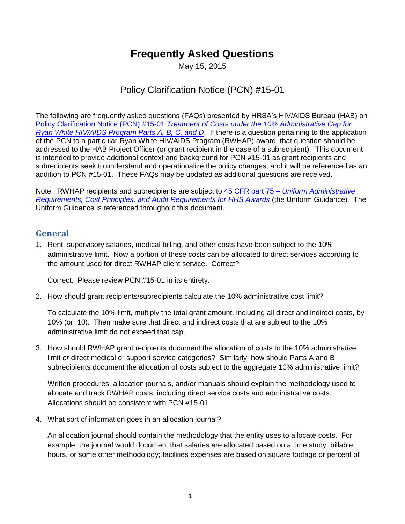# **Frequently Asked Questions**

May 15, 2015

# Policy Clarification Notice (PCN) #15-01

The following are frequently asked questions (FAQs) presented by HRSA's HIV/AIDS Bureau (HAB) on Policy Clarification Notice (PCN) #15-01 *[Treatment of Costs under the 10% Administrative Cap for](http://hab.hrsa.gov/affordablecareact/pcn1501.pdf)  [Ryan White HIV/AIDS Program Parts A, B, C, and D](http://hab.hrsa.gov/affordablecareact/pcn1501.pdf)*. If there is a question pertaining to the application of the PCN to a particular Ryan White HIV/AIDS Program (RWHAP) award, that question should be addressed to the HAB Project Officer (or grant recipient in the case of a subrecipient). This document is intended to provide additional context and background for PCN #15-01 as grant recipients and subrecipients seek to understand and operationalize the policy changes, and it will be referenced as an addition to PCN #15-01. These FAQs may be updated as additional questions are received.

Note: RWHAP recipients and subrecipients are subject to 45 CFR part 75 – *[Uniform Administrative](http://www.ecfr.gov/cgi-bin/retrieveECFR?gp=1&SID=d68d458b10a5d358d95996eb90798e47&ty=HTML&h=L&r=PART&n=pt45.1.75#se45.1.75_12)  [Requirements, Cost Principles, and Audit Requirements for HHS Awards](http://www.ecfr.gov/cgi-bin/retrieveECFR?gp=1&SID=d68d458b10a5d358d95996eb90798e47&ty=HTML&h=L&r=PART&n=pt45.1.75#se45.1.75_12)* (the Uniform Guidance)*.* The Uniform Guidance is referenced throughout this document.

#### **General**

1. Rent, supervisory salaries, medical billing, and other costs have been subject to the 10% administrative limit. Now a portion of these costs can be allocated to direct services according to the amount used for direct RWHAP client service. Correct?

Correct. Please review PCN #15-01 in its entirety.

2. How should grant recipients/subrecipients calculate the 10% administrative cost limit?

To calculate the 10% limit, multiply the total grant amount, including all direct and indirect costs, by 10% (or .10). Then make sure that direct and indirect costs that are subject to the 10% administrative limit do not exceed that cap.

3. How should RWHAP grant recipients document the allocation of costs to the 10% administrative limit *or* direct medical or support service categories? Similarly, how should Parts A and B subrecipients document the allocation of costs subject to the aggregate 10% administrative limit?

Written procedures, allocation journals, and/or manuals should explain the methodology used to allocate and track RWHAP costs, including direct service costs and administrative costs. Allocations should be consistent with PCN #15-01.

4. What sort of information goes in an allocation journal?

An allocation journal should contain the methodology that the entity uses to allocate costs. For example, the journal would document that salaries are allocated based on a time study, billable hours, or some other methodology; facilities expenses are based on square footage or percent of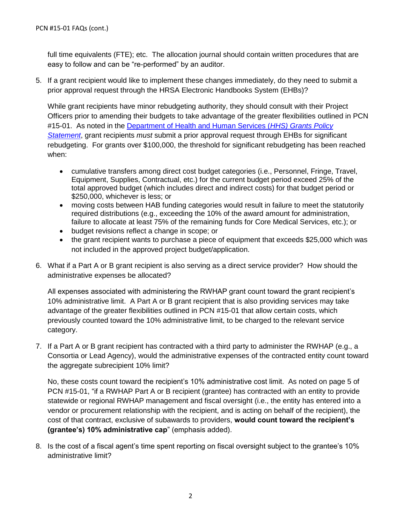full time equivalents (FTE); etc. The allocation journal should contain written procedures that are easy to follow and can be "re-performed" by an auditor.

5. If a grant recipient would like to implement these changes immediately, do they need to submit a prior approval request through the HRSA Electronic Handbooks System (EHBs)?

While grant recipients have minor rebudgeting authority, they should consult with their Project Officers prior to amending their budgets to take advantage of the greater flexibilities outlined in PCN #15-01. As noted in the [Department of Health and Human Services \(](http://www.hrsa.gov/grants/hhsgrantspolicy.pdf)*HHS) Grants Policy [Statement](http://www.hrsa.gov/grants/hhsgrantspolicy.pdf)*, grant recipients *must* submit a prior approval request through EHBs for significant rebudgeting. For grants over \$100,000, the threshold for significant rebudgeting has been reached when:

- cumulative transfers among direct cost budget categories (i.e., Personnel, Fringe, Travel, Equipment, Supplies, Contractual, etc.) for the current budget period exceed 25% of the total approved budget (which includes direct and indirect costs) for that budget period or \$250,000, whichever is less; or
- moving costs between HAB funding categories would result in failure to meet the statutorily required distributions (e.g., exceeding the 10% of the award amount for administration, failure to allocate at least 75% of the remaining funds for Core Medical Services, etc.); or
- budget revisions reflect a change in scope; or
- the grant recipient wants to purchase a piece of equipment that exceeds \$25,000 which was not included in the approved project budget/application.
- 6. What if a Part A or B grant recipient is also serving as a direct service provider? How should the administrative expenses be allocated?

All expenses associated with administering the RWHAP grant count toward the grant recipient's 10% administrative limit. A Part A or B grant recipient that is also providing services may take advantage of the greater flexibilities outlined in PCN #15-01 that allow certain costs, which previously counted toward the 10% administrative limit, to be charged to the relevant service category.

7. If a Part A or B grant recipient has contracted with a third party to administer the RWHAP (e.g., a Consortia or Lead Agency), would the administrative expenses of the contracted entity count toward the aggregate subrecipient 10% limit?

No, these costs count toward the recipient's 10% administrative cost limit. As noted on page 5 of PCN #15-01, "if a RWHAP Part A or B recipient (grantee) has contracted with an entity to provide statewide or regional RWHAP management and fiscal oversight (i.e., the entity has entered into a vendor or procurement relationship with the recipient, and is acting on behalf of the recipient), the cost of that contract, exclusive of subawards to providers, **would count toward the recipient's (grantee's) 10% administrative cap**" (emphasis added).

8. Is the cost of a fiscal agent's time spent reporting on fiscal oversight subject to the grantee's 10% administrative limit?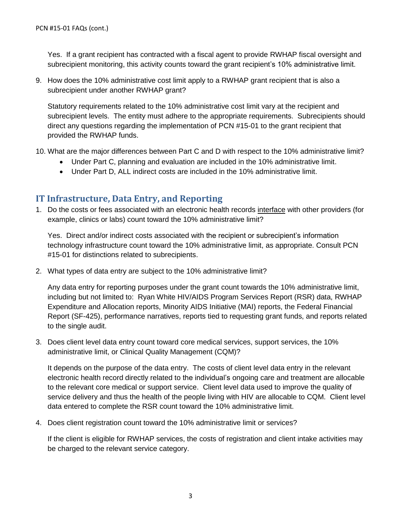Yes. If a grant recipient has contracted with a fiscal agent to provide RWHAP fiscal oversight and subrecipient monitoring, this activity counts toward the grant recipient's 10% administrative limit.

9. How does the 10% administrative cost limit apply to a RWHAP grant recipient that is also a subrecipient under another RWHAP grant?

Statutory requirements related to the 10% administrative cost limit vary at the recipient and subrecipient levels. The entity must adhere to the appropriate requirements. Subrecipients should direct any questions regarding the implementation of PCN #15-01 to the grant recipient that provided the RWHAP funds.

- 10. What are the major differences between Part C and D with respect to the 10% administrative limit?
	- Under Part C, planning and evaluation are included in the 10% administrative limit.
	- Under Part D, ALL indirect costs are included in the 10% administrative limit.

#### **IT Infrastructure, Data Entry, and Reporting**

1. Do the costs or fees associated with an electronic health records interface with other providers (for example, clinics or labs) count toward the 10% administrative limit?

Yes. Direct and/or indirect costs associated with the recipient or subrecipient's information technology infrastructure count toward the 10% administrative limit, as appropriate. Consult PCN #15-01 for distinctions related to subrecipients.

2. What types of data entry are subject to the 10% administrative limit?

Any data entry for reporting purposes under the grant count towards the 10% administrative limit, including but not limited to: Ryan White HIV/AIDS Program Services Report (RSR) data, RWHAP Expenditure and Allocation reports, Minority AIDS Initiative (MAI) reports, the Federal Financial Report (SF-425), performance narratives, reports tied to requesting grant funds, and reports related to the single audit.

3. Does client level data entry count toward core medical services, support services, the 10% administrative limit, or Clinical Quality Management (CQM)?

It depends on the purpose of the data entry. The costs of client level data entry in the relevant electronic health record directly related to the individual's ongoing care and treatment are allocable to the relevant core medical or support service. Client level data used to improve the quality of service delivery and thus the health of the people living with HIV are allocable to CQM. Client level data entered to complete the RSR count toward the 10% administrative limit.

4. Does client registration count toward the 10% administrative limit or services?

If the client is eligible for RWHAP services, the costs of registration and client intake activities may be charged to the relevant service category.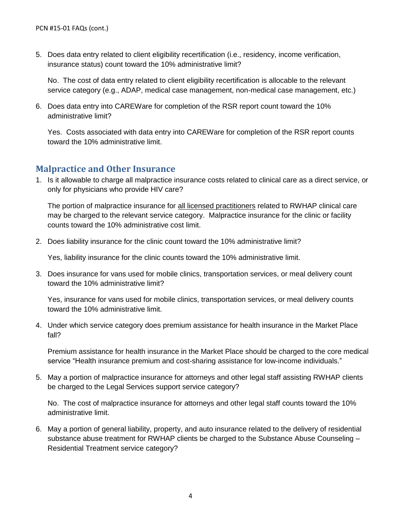5. Does data entry related to client eligibility recertification (i.e., residency, income verification, insurance status) count toward the 10% administrative limit?

No. The cost of data entry related to client eligibility recertification is allocable to the relevant service category (e.g., ADAP, medical case management, non-medical case management, etc.)

6. Does data entry into CAREWare for completion of the RSR report count toward the 10% administrative limit?

Yes. Costs associated with data entry into CAREWare for completion of the RSR report counts toward the 10% administrative limit.

#### **Malpractice and Other Insurance**

1. Is it allowable to charge all malpractice insurance costs related to clinical care as a direct service, or only for physicians who provide HIV care?

The portion of malpractice insurance for all licensed practitioners related to RWHAP clinical care may be charged to the relevant service category. Malpractice insurance for the clinic or facility counts toward the 10% administrative cost limit.

2. Does liability insurance for the clinic count toward the 10% administrative limit?

Yes, liability insurance for the clinic counts toward the 10% administrative limit.

3. Does insurance for vans used for mobile clinics, transportation services, or meal delivery count toward the 10% administrative limit?

Yes, insurance for vans used for mobile clinics, transportation services, or meal delivery counts toward the 10% administrative limit.

4. Under which service category does premium assistance for health insurance in the Market Place fall?

Premium assistance for health insurance in the Market Place should be charged to the core medical service "Health insurance premium and cost-sharing assistance for low-income individuals."

5. May a portion of malpractice insurance for attorneys and other legal staff assisting RWHAP clients be charged to the Legal Services support service category?

No. The cost of malpractice insurance for attorneys and other legal staff counts toward the 10% administrative limit.

6. May a portion of general liability, property, and auto insurance related to the delivery of residential substance abuse treatment for RWHAP clients be charged to the Substance Abuse Counseling – Residential Treatment service category?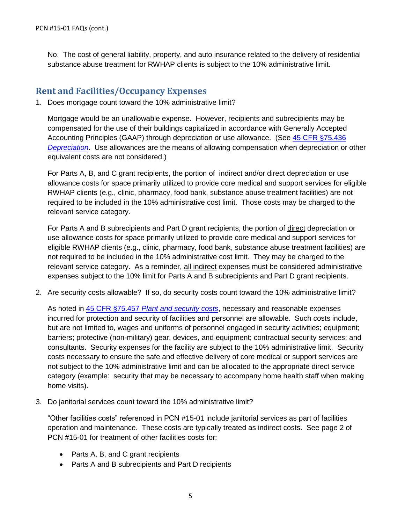No. The cost of general liability, property, and auto insurance related to the delivery of residential substance abuse treatment for RWHAP clients is subject to the 10% administrative limit.

#### **Rent and Facilities/Occupancy Expenses**

1. Does mortgage count toward the 10% administrative limit?

Mortgage would be an unallowable expense. However, recipients and subrecipients may be compensated for the use of their buildings capitalized in accordance with Generally Accepted Accounting Principles (GAAP) through depreciation or use allowance. (See 45 CFR [§75.436](http://www.ecfr.gov/cgi-bin/retrieveECFR?gp=1&SID=d68d458b10a5d358d95996eb90798e47&ty=HTML&h=L&r=PART&n=pt45.1.75#se45.1.75_1436)  *[Depreciation](http://www.ecfr.gov/cgi-bin/retrieveECFR?gp=1&SID=d68d458b10a5d358d95996eb90798e47&ty=HTML&h=L&r=PART&n=pt45.1.75#se45.1.75_1436)*. Use allowances are the means of allowing compensation when depreciation or other equivalent costs are not considered.)

For Parts A, B, and C grant recipients, the portion of indirect and/or direct depreciation or use allowance costs for space primarily utilized to provide core medical and support services for eligible RWHAP clients (e.g., clinic, pharmacy, food bank, substance abuse treatment facilities) are not required to be included in the 10% administrative cost limit. Those costs may be charged to the relevant service category.

For Parts A and B subrecipients and Part D grant recipients, the portion of direct depreciation or use allowance costs for space primarily utilized to provide core medical and support services for eligible RWHAP clients (e.g., clinic, pharmacy, food bank, substance abuse treatment facilities) are not required to be included in the 10% administrative cost limit. They may be charged to the relevant service category. As a reminder, all indirect expenses must be considered administrative expenses subject to the 10% limit for Parts A and B subrecipients and Part D grant recipients.

2. Are security costs allowable? If so, do security costs count toward the 10% administrative limit?

As noted in 45 CFR §75.457 *[Plant and security costs](http://www.ecfr.gov/cgi-bin/retrieveECFR?gp=1&SID=4f85db4ad2eec5ed845a4df3a502348b&ty=HTML&h=L&mc=true&r=PART&n=pt45.1.75#se45.1.75_1457)*, necessary and reasonable expenses incurred for protection and security of facilities and personnel are allowable. Such costs include, but are not limited to, wages and uniforms of personnel engaged in security activities; equipment; barriers; protective (non-military) gear, devices, and equipment; contractual security services; and consultants. Security expenses for the facility are subject to the 10% administrative limit. Security costs necessary to ensure the safe and effective delivery of core medical or support services are not subject to the 10% administrative limit and can be allocated to the appropriate direct service category (example: security that may be necessary to accompany home health staff when making home visits).

3. Do janitorial services count toward the 10% administrative limit?

"Other facilities costs" referenced in PCN #15-01 include janitorial services as part of facilities operation and maintenance. These costs are typically treated as indirect costs. See page 2 of PCN #15-01 for treatment of other facilities costs for:

- Parts A, B, and C grant recipients
- Parts A and B subrecipients and Part D recipients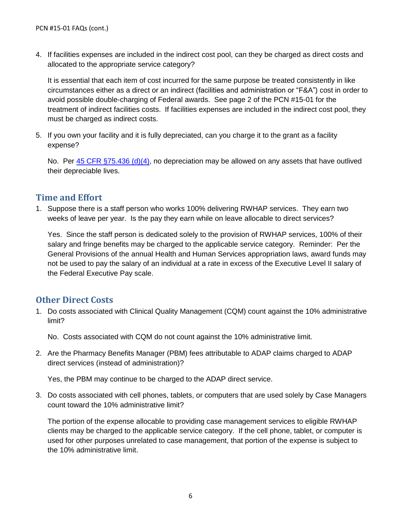4. If facilities expenses are included in the indirect cost pool, can they be charged as direct costs and allocated to the appropriate service category?

It is essential that each item of cost incurred for the same purpose be treated consistently in like circumstances either as a direct or an indirect (facilities and administration or "F&A") cost in order to avoid possible double-charging of Federal awards. See page 2 of the PCN #15-01 for the treatment of indirect facilities costs. If facilities expenses are included in the indirect cost pool, they must be charged as indirect costs.

5. If you own your facility and it is fully depreciated, can you charge it to the grant as a facility expense?

No. Per [45 CFR §75.436](http://www.ecfr.gov/cgi-bin/retrieveECFR?gp=1&SID=d68d458b10a5d358d95996eb90798e47&ty=HTML&h=L&r=PART&n=pt45.1.75#se45.1.75_1436) (d)(4), no depreciation may be allowed on any assets that have outlived their depreciable lives.

#### **Time and Effort**

1. Suppose there is a staff person who works 100% delivering RWHAP services. They earn two weeks of leave per year. Is the pay they earn while on leave allocable to direct services?

Yes. Since the staff person is dedicated solely to the provision of RWHAP services, 100% of their salary and fringe benefits may be charged to the applicable service category. Reminder: Per the General Provisions of the annual Health and Human Services appropriation laws, award funds may not be used to pay the salary of an individual at a rate in excess of the Executive Level II salary of the Federal Executive Pay scale.

## **Other Direct Costs**

1. Do costs associated with Clinical Quality Management (CQM) count against the 10% administrative limit?

No. Costs associated with CQM do not count against the 10% administrative limit.

2. Are the Pharmacy Benefits Manager (PBM) fees attributable to ADAP claims charged to ADAP direct services (instead of administration)?

Yes, the PBM may continue to be charged to the ADAP direct service.

3. Do costs associated with cell phones, tablets, or computers that are used solely by Case Managers count toward the 10% administrative limit?

The portion of the expense allocable to providing case management services to eligible RWHAP clients may be charged to the applicable service category. If the cell phone, tablet, or computer is used for other purposes unrelated to case management, that portion of the expense is subject to the 10% administrative limit.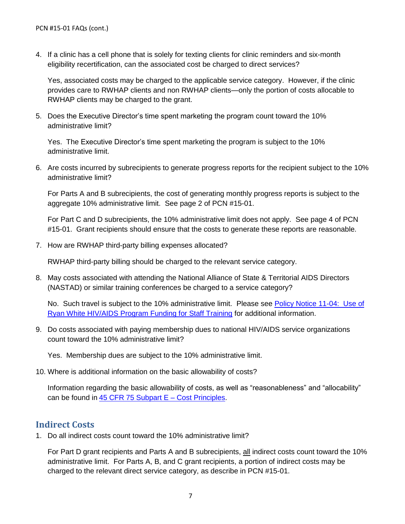4. If a clinic has a cell phone that is solely for texting clients for clinic reminders and six-month eligibility recertification, can the associated cost be charged to direct services?

Yes, associated costs may be charged to the applicable service category. However, if the clinic provides care to RWHAP clients and non RWHAP clients—only the portion of costs allocable to RWHAP clients may be charged to the grant.

5. Does the Executive Director's time spent marketing the program count toward the 10% administrative limit?

Yes. The Executive Director's time spent marketing the program is subject to the 10% administrative limit.

6. Are costs incurred by subrecipients to generate progress reports for the recipient subject to the 10% administrative limit?

For Parts A and B subrecipients, the cost of generating monthly progress reports is subject to the aggregate 10% administrative limit. See page 2 of PCN #15-01.

For Part C and D subrecipients, the 10% administrative limit does not apply. See page 4 of PCN #15-01. Grant recipients should ensure that the costs to generate these reports are reasonable.

7. How are RWHAP third-party billing expenses allocated?

RWHAP third-party billing should be charged to the relevant service category.

8. May costs associated with attending the National Alliance of State & Territorial AIDS Directors (NASTAD) or similar training conferences be charged to a service category?

No. Such travel is subject to the 10% administrative limit. Please see [Policy Notice 11-04: Use of](http://hab.hrsa.gov/manageyourgrant/pinspals/habpl1104.pdf)  [Ryan White HIV/AIDS Program Funding for Staff Training](http://hab.hrsa.gov/manageyourgrant/pinspals/habpl1104.pdf) for additional information.

9. Do costs associated with paying membership dues to national HIV/AIDS service organizations count toward the 10% administrative limit?

Yes. Membership dues are subject to the 10% administrative limit.

10. Where is additional information on the basic allowability of costs?

Information regarding the basic allowability of costs, as well as "reasonableness" and "allocability" can be found in [45 CFR 75 Subpart E –](http://www.ecfr.gov/cgi-bin/retrieveECFR?gp=1&SID=d68d458b10a5d358d95996eb90798e47&ty=HTML&h=L&r=PART&n=pt45.1.75#sp45.1.75.e) Cost Principles.

#### **Indirect Costs**

1. Do all indirect costs count toward the 10% administrative limit?

For Part D grant recipients and Parts A and B subrecipients, all indirect costs count toward the 10% administrative limit. For Parts A, B, and C grant recipients, a portion of indirect costs may be charged to the relevant direct service category, as describe in PCN #15-01.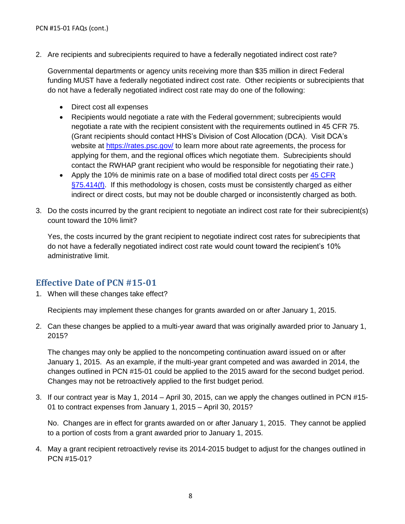2. Are recipients and subrecipients required to have a federally negotiated indirect cost rate?

Governmental departments or agency units receiving more than \$35 million in direct Federal funding MUST have a federally negotiated indirect cost rate. Other recipients or subrecipients that do not have a federally negotiated indirect cost rate may do one of the following:

- Direct cost all expenses
- Recipients would negotiate a rate with the Federal government; subrecipients would negotiate a rate with the recipient consistent with the requirements outlined in 45 CFR 75. (Grant recipients should contact HHS's Division of Cost Allocation (DCA). Visit DCA's website at<https://rates.psc.gov/> to learn more about rate agreements, the process for applying for them, and the regional offices which negotiate them. Subrecipients should contact the RWHAP grant recipient who would be responsible for negotiating their rate.)
- Apply the 10% de minimis rate on a base of modified total direct costs per 45 CFR  $\S75.414(f)$ . If this methodology is chosen, costs must be consistently charged as either indirect or direct costs, but may not be double charged or inconsistently charged as both.
- 3. Do the costs incurred by the grant recipient to negotiate an indirect cost rate for their subrecipient(s) count toward the 10% limit?

Yes, the costs incurred by the grant recipient to negotiate indirect cost rates for subrecipients that do not have a federally negotiated indirect cost rate would count toward the recipient's 10% administrative limit.

## **Effective Date of PCN #15-01**

1. When will these changes take effect?

Recipients may implement these changes for grants awarded on or after January 1, 2015.

2. Can these changes be applied to a multi-year award that was originally awarded prior to January 1, 2015?

The changes may only be applied to the noncompeting continuation award issued on or after January 1, 2015. As an example, if the multi-year grant competed and was awarded in 2014, the changes outlined in PCN #15-01 could be applied to the 2015 award for the second budget period. Changes may not be retroactively applied to the first budget period.

3. If our contract year is May 1, 2014 – April 30, 2015, can we apply the changes outlined in PCN #15- 01 to contract expenses from January 1, 2015 – April 30, 2015?

No. Changes are in effect for grants awarded on or after January 1, 2015. They cannot be applied to a portion of costs from a grant awarded prior to January 1, 2015.

4. May a grant recipient retroactively revise its 2014-2015 budget to adjust for the changes outlined in PCN #15-01?